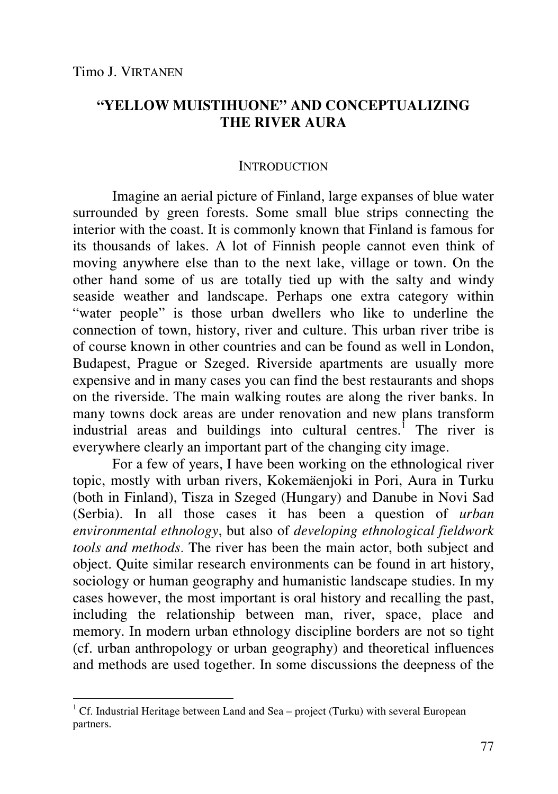-

# **"YELLOW MUISTIHUONE" AND CONCEPTUALIZING THE RIVER AURA**

### **INTRODUCTION**

Imagine an aerial picture of Finland, large expanses of blue water surrounded by green forests. Some small blue strips connecting the interior with the coast. It is commonly known that Finland is famous for its thousands of lakes. A lot of Finnish people cannot even think of moving anywhere else than to the next lake, village or town. On the other hand some of us are totally tied up with the salty and windy seaside weather and landscape. Perhaps one extra category within "water people" is those urban dwellers who like to underline the connection of town, history, river and culture. This urban river tribe is of course known in other countries and can be found as well in London, Budapest, Prague or Szeged. Riverside apartments are usually more expensive and in many cases you can find the best restaurants and shops on the riverside. The main walking routes are along the river banks. In many towns dock areas are under renovation and new plans transform industrial areas and buildings into cultural centres.<sup>1</sup> The river is everywhere clearly an important part of the changing city image.

For a few of years, I have been working on the ethnological river topic, mostly with urban rivers, Kokemäenjoki in Pori, Aura in Turku (both in Finland), Tisza in Szeged (Hungary) and Danube in Novi Sad (Serbia). In all those cases it has been a question of *urban environmental ethnology*, but also of *developing ethnological fieldwork tools and methods.* The river has been the main actor, both subject and object. Quite similar research environments can be found in art history, sociology or human geography and humanistic landscape studies. In my cases however, the most important is oral history and recalling the past, including the relationship between man, river, space, place and memory. In modern urban ethnology discipline borders are not so tight (cf. urban anthropology or urban geography) and theoretical influences and methods are used together. In some discussions the deepness of the

<sup>&</sup>lt;sup>1</sup> Cf. Industrial Heritage between Land and Sea – project (Turku) with several European partners.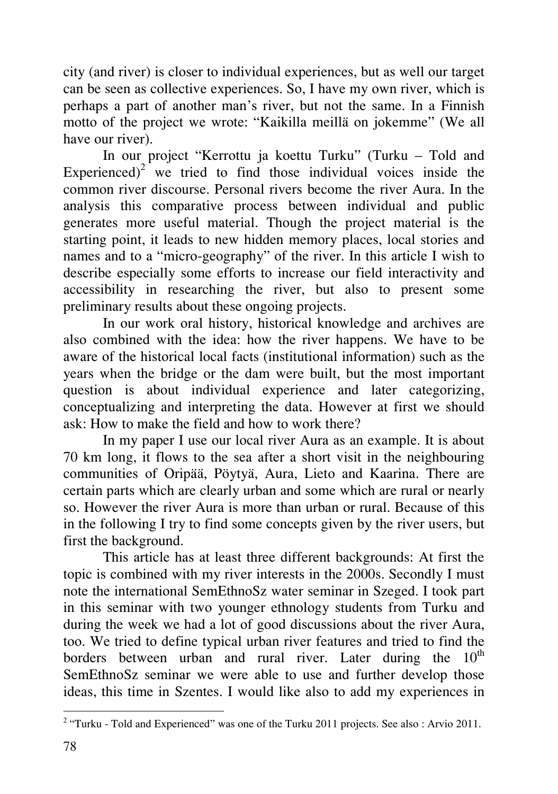city (and river) is closer to individual experiences, but as well our target can be seen as collective experiences. So, I have my own river, which is perhaps a part of another man's river, but not the same. In a Finnish motto of the project we wrote: "Kaikilla meillä on jokemme" (We all have our river).

In our project "Kerrottu ja koettu Turku" (Turku – Told and Experienced)<sup>2</sup> we tried to find those individual voices inside the common river discourse. Personal rivers become the river Aura. In the analysis this comparative process between individual and public generates more useful material. Though the project material is the starting point, it leads to new hidden memory places, local stories and names and to a "micro-geography" of the river. In this article I wish to describe especially some efforts to increase our field interactivity and accessibility in researching the river, but also to present some preliminary results about these ongoing projects.

In our work oral history, historical knowledge and archives are also combined with the idea: how the river happens. We have to be aware of the historical local facts (institutional information) such as the years when the bridge or the dam were built, but the most important question is about individual experience and later categorizing, conceptualizing and interpreting the data. However at first we should ask: How to make the field and how to work there?

In my paper I use our local river Aura as an example. It is about 70 km long, it flows to the sea after a short visit in the neighbouring communities of Oripää, Pöytyä, Aura, Lieto and Kaarina. There are certain parts which are clearly urban and some which are rural or nearly so. However the river Aura is more than urban or rural. Because of this in the following I try to find some concepts given by the river users, but first the background.

This article has at least three different backgrounds: At first the topic is combined with my river interests in the 2000s. Secondly I must note the international SemEthnoSz water seminar in Szeged. I took part in this seminar with two younger ethnology students from Turku and during the week we had a lot of good discussions about the river Aura, too. We tried to define typical urban river features and tried to find the borders between urban and rural river. Later during the  $10^{th}$ SemEthnoSz seminar we were able to use and further develop those ideas, this time in Szentes. I would like also to add my experiences in

 $\ddot{\phantom{a}}$ 

<sup>&</sup>lt;sup>2</sup> "Turku - Told and Experienced" was one of the Turku 2011 projects. See also: Arvio 2011.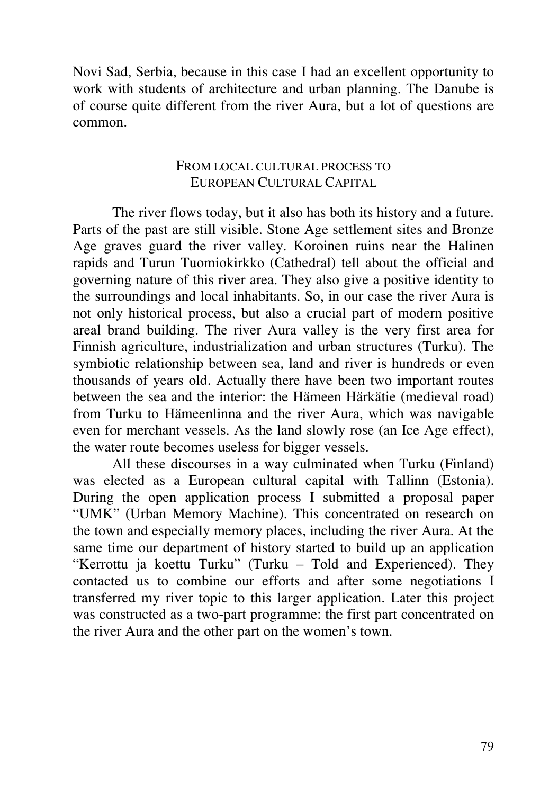Novi Sad, Serbia, because in this case I had an excellent opportunity to work with students of architecture and urban planning. The Danube is of course quite different from the river Aura, but a lot of questions are common.

## FROM LOCAL CULTURAL PROCESS TO EUROPEAN CULTURAL CAPITAL

The river flows today, but it also has both its history and a future. Parts of the past are still visible. Stone Age settlement sites and Bronze Age graves guard the river valley. Koroinen ruins near the Halinen rapids and Turun Tuomiokirkko (Cathedral) tell about the official and governing nature of this river area. They also give a positive identity to the surroundings and local inhabitants. So, in our case the river Aura is not only historical process, but also a crucial part of modern positive areal brand building. The river Aura valley is the very first area for Finnish agriculture, industrialization and urban structures (Turku). The symbiotic relationship between sea, land and river is hundreds or even thousands of years old. Actually there have been two important routes between the sea and the interior: the Hämeen Härkätie (medieval road) from Turku to Hämeenlinna and the river Aura, which was navigable even for merchant vessels. As the land slowly rose (an Ice Age effect), the water route becomes useless for bigger vessels.

All these discourses in a way culminated when Turku (Finland) was elected as a European cultural capital with Tallinn (Estonia). During the open application process I submitted a proposal paper "UMK" (Urban Memory Machine). This concentrated on research on the town and especially memory places, including the river Aura. At the same time our department of history started to build up an application "Kerrottu ja koettu Turku" (Turku – Told and Experienced). They contacted us to combine our efforts and after some negotiations I transferred my river topic to this larger application. Later this project was constructed as a two-part programme: the first part concentrated on the river Aura and the other part on the women's town.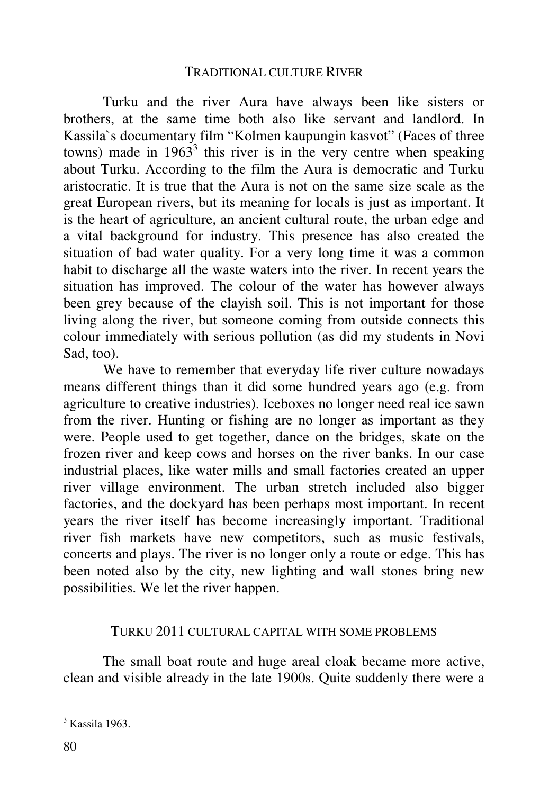### TRADITIONAL CULTURE RIVER

Turku and the river Aura have always been like sisters or brothers, at the same time both also like servant and landlord. In Kassila`s documentary film "Kolmen kaupungin kasvot" (Faces of three towns) made in  $1963<sup>3</sup>$  this river is in the very centre when speaking about Turku. According to the film the Aura is democratic and Turku aristocratic. It is true that the Aura is not on the same size scale as the great European rivers, but its meaning for locals is just as important. It is the heart of agriculture, an ancient cultural route, the urban edge and a vital background for industry. This presence has also created the situation of bad water quality. For a very long time it was a common habit to discharge all the waste waters into the river. In recent years the situation has improved. The colour of the water has however always been grey because of the clayish soil. This is not important for those living along the river, but someone coming from outside connects this colour immediately with serious pollution (as did my students in Novi Sad, too).

We have to remember that everyday life river culture nowadays means different things than it did some hundred years ago (e.g. from agriculture to creative industries). Iceboxes no longer need real ice sawn from the river. Hunting or fishing are no longer as important as they were. People used to get together, dance on the bridges, skate on the frozen river and keep cows and horses on the river banks. In our case industrial places, like water mills and small factories created an upper river village environment. The urban stretch included also bigger factories, and the dockyard has been perhaps most important. In recent years the river itself has become increasingly important. Traditional river fish markets have new competitors, such as music festivals, concerts and plays. The river is no longer only a route or edge. This has been noted also by the city, new lighting and wall stones bring new possibilities. We let the river happen.

#### TURKU 2011 CULTURAL CAPITAL WITH SOME PROBLEMS

The small boat route and huge areal cloak became more active, clean and visible already in the late 1900s. Quite suddenly there were a

 3 Kassila 1963.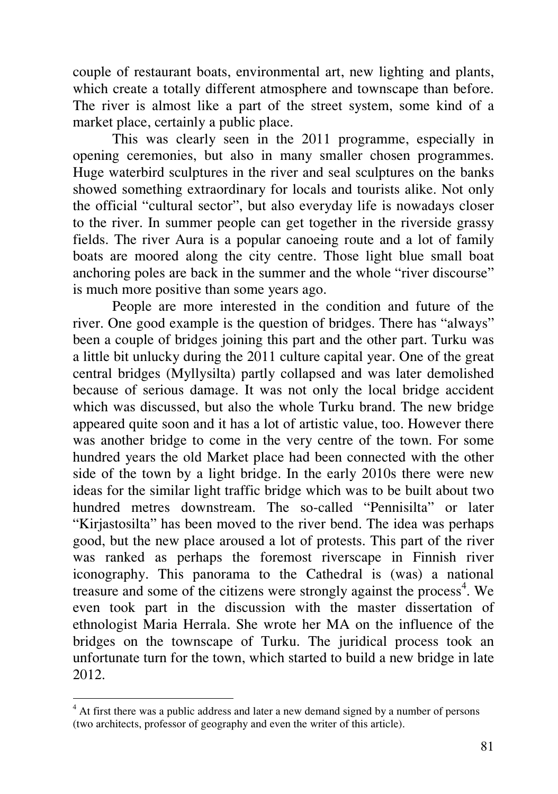couple of restaurant boats, environmental art, new lighting and plants, which create a totally different atmosphere and townscape than before. The river is almost like a part of the street system, some kind of a market place, certainly a public place.

This was clearly seen in the 2011 programme, especially in opening ceremonies, but also in many smaller chosen programmes. Huge waterbird sculptures in the river and seal sculptures on the banks showed something extraordinary for locals and tourists alike. Not only the official "cultural sector", but also everyday life is nowadays closer to the river. In summer people can get together in the riverside grassy fields. The river Aura is a popular canoeing route and a lot of family boats are moored along the city centre. Those light blue small boat anchoring poles are back in the summer and the whole "river discourse" is much more positive than some years ago.

People are more interested in the condition and future of the river. One good example is the question of bridges. There has "always" been a couple of bridges joining this part and the other part. Turku was a little bit unlucky during the 2011 culture capital year. One of the great central bridges (Myllysilta) partly collapsed and was later demolished because of serious damage. It was not only the local bridge accident which was discussed, but also the whole Turku brand. The new bridge appeared quite soon and it has a lot of artistic value, too. However there was another bridge to come in the very centre of the town. For some hundred years the old Market place had been connected with the other side of the town by a light bridge. In the early 2010s there were new ideas for the similar light traffic bridge which was to be built about two hundred metres downstream. The so-called "Pennisilta" or later "Kirjastosilta" has been moved to the river bend. The idea was perhaps good, but the new place aroused a lot of protests. This part of the river was ranked as perhaps the foremost riverscape in Finnish river iconography. This panorama to the Cathedral is (was) a national treasure and some of the citizens were strongly against the process<sup>4</sup>. We even took part in the discussion with the master dissertation of ethnologist Maria Herrala. She wrote her MA on the influence of the bridges on the townscape of Turku. The juridical process took an unfortunate turn for the town, which started to build a new bridge in late 2012.

<sup>&</sup>lt;sup>4</sup> At first there was a public address and later a new demand signed by a number of persons (two architects, professor of geography and even the writer of this article).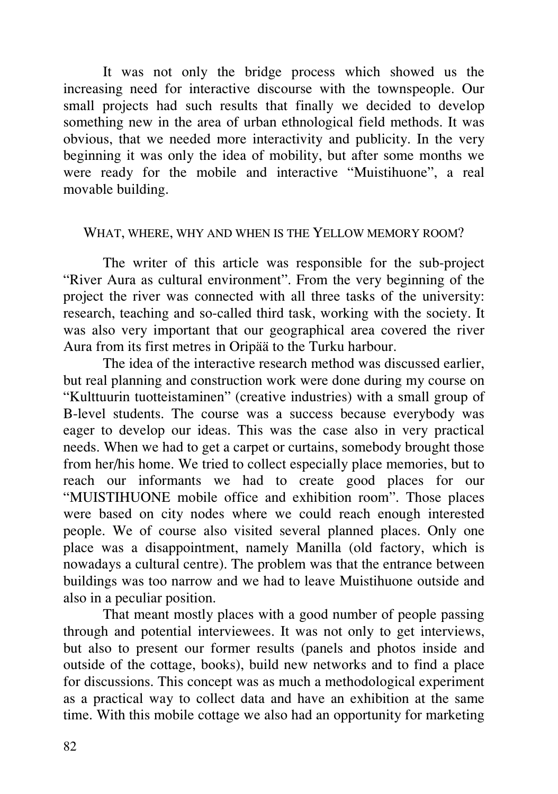It was not only the bridge process which showed us the increasing need for interactive discourse with the townspeople. Our small projects had such results that finally we decided to develop something new in the area of urban ethnological field methods. It was obvious, that we needed more interactivity and publicity. In the very beginning it was only the idea of mobility, but after some months we were ready for the mobile and interactive "Muistihuone", a real movable building.

### WHAT, WHERE, WHY AND WHEN IS THE YELLOW MEMORY ROOM?

The writer of this article was responsible for the sub-project "River Aura as cultural environment". From the very beginning of the project the river was connected with all three tasks of the university: research, teaching and so-called third task, working with the society. It was also very important that our geographical area covered the river Aura from its first metres in Oripää to the Turku harbour.

The idea of the interactive research method was discussed earlier, but real planning and construction work were done during my course on "Kulttuurin tuotteistaminen" (creative industries) with a small group of B-level students. The course was a success because everybody was eager to develop our ideas. This was the case also in very practical needs. When we had to get a carpet or curtains, somebody brought those from her/his home. We tried to collect especially place memories, but to reach our informants we had to create good places for our "MUISTIHUONE mobile office and exhibition room". Those places were based on city nodes where we could reach enough interested people. We of course also visited several planned places. Only one place was a disappointment, namely Manilla (old factory, which is nowadays a cultural centre). The problem was that the entrance between buildings was too narrow and we had to leave Muistihuone outside and also in a peculiar position.

That meant mostly places with a good number of people passing through and potential interviewees. It was not only to get interviews, but also to present our former results (panels and photos inside and outside of the cottage, books), build new networks and to find a place for discussions. This concept was as much a methodological experiment as a practical way to collect data and have an exhibition at the same time. With this mobile cottage we also had an opportunity for marketing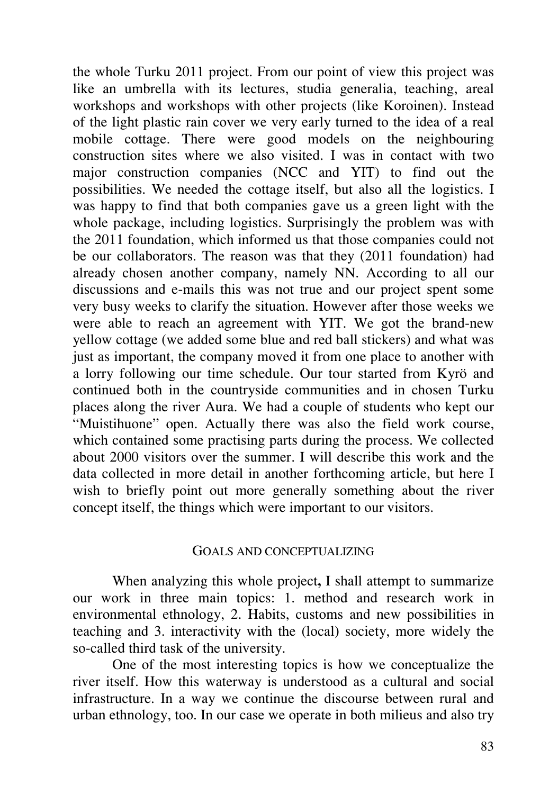the whole Turku 2011 project. From our point of view this project was like an umbrella with its lectures, studia generalia, teaching, areal workshops and workshops with other projects (like Koroinen). Instead of the light plastic rain cover we very early turned to the idea of a real mobile cottage. There were good models on the neighbouring construction sites where we also visited. I was in contact with two major construction companies (NCC and YIT) to find out the possibilities. We needed the cottage itself, but also all the logistics. I was happy to find that both companies gave us a green light with the whole package, including logistics. Surprisingly the problem was with the 2011 foundation, which informed us that those companies could not be our collaborators. The reason was that they (2011 foundation) had already chosen another company, namely NN. According to all our discussions and e-mails this was not true and our project spent some very busy weeks to clarify the situation. However after those weeks we were able to reach an agreement with YIT. We got the brand-new yellow cottage (we added some blue and red ball stickers) and what was just as important, the company moved it from one place to another with a lorry following our time schedule. Our tour started from Kyrö and continued both in the countryside communities and in chosen Turku places along the river Aura. We had a couple of students who kept our "Muistihuone" open. Actually there was also the field work course, which contained some practising parts during the process. We collected about 2000 visitors over the summer. I will describe this work and the data collected in more detail in another forthcoming article, but here I wish to briefly point out more generally something about the river concept itself, the things which were important to our visitors.

#### GOALS AND CONCEPTUALIZING

When analyzing this whole project**,** I shall attempt to summarize our work in three main topics: 1. method and research work in environmental ethnology, 2. Habits, customs and new possibilities in teaching and 3. interactivity with the (local) society, more widely the so-called third task of the university.

One of the most interesting topics is how we conceptualize the river itself. How this waterway is understood as a cultural and social infrastructure. In a way we continue the discourse between rural and urban ethnology, too. In our case we operate in both milieus and also try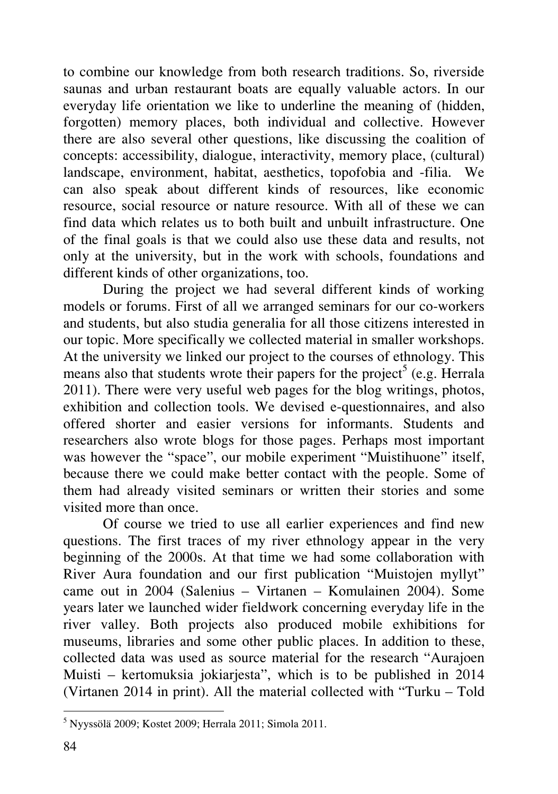to combine our knowledge from both research traditions. So, riverside saunas and urban restaurant boats are equally valuable actors. In our everyday life orientation we like to underline the meaning of (hidden, forgotten) memory places, both individual and collective. However there are also several other questions, like discussing the coalition of concepts: accessibility, dialogue, interactivity, memory place, (cultural) landscape, environment, habitat, aesthetics, topofobia and -filia. We can also speak about different kinds of resources, like economic resource, social resource or nature resource. With all of these we can find data which relates us to both built and unbuilt infrastructure. One of the final goals is that we could also use these data and results, not only at the university, but in the work with schools, foundations and different kinds of other organizations, too.

During the project we had several different kinds of working models or forums. First of all we arranged seminars for our co-workers and students, but also studia generalia for all those citizens interested in our topic. More specifically we collected material in smaller workshops. At the university we linked our project to the courses of ethnology. This means also that students wrote their papers for the project<sup>5</sup> (e.g. Herrala 2011). There were very useful web pages for the blog writings, photos, exhibition and collection tools. We devised e-questionnaires, and also offered shorter and easier versions for informants. Students and researchers also wrote blogs for those pages. Perhaps most important was however the "space", our mobile experiment "Muistihuone" itself, because there we could make better contact with the people. Some of them had already visited seminars or written their stories and some visited more than once.

Of course we tried to use all earlier experiences and find new questions. The first traces of my river ethnology appear in the very beginning of the 2000s. At that time we had some collaboration with River Aura foundation and our first publication "Muistojen myllyt" came out in 2004 (Salenius – Virtanen – Komulainen 2004). Some years later we launched wider fieldwork concerning everyday life in the river valley. Both projects also produced mobile exhibitions for museums, libraries and some other public places. In addition to these, collected data was used as source material for the research "Aurajoen Muisti – kertomuksia jokiarjesta", which is to be published in 2014 (Virtanen 2014 in print). All the material collected with "Turku – Told

 5 Nyyssölä 2009; Kostet 2009; Herrala 2011; Simola 2011.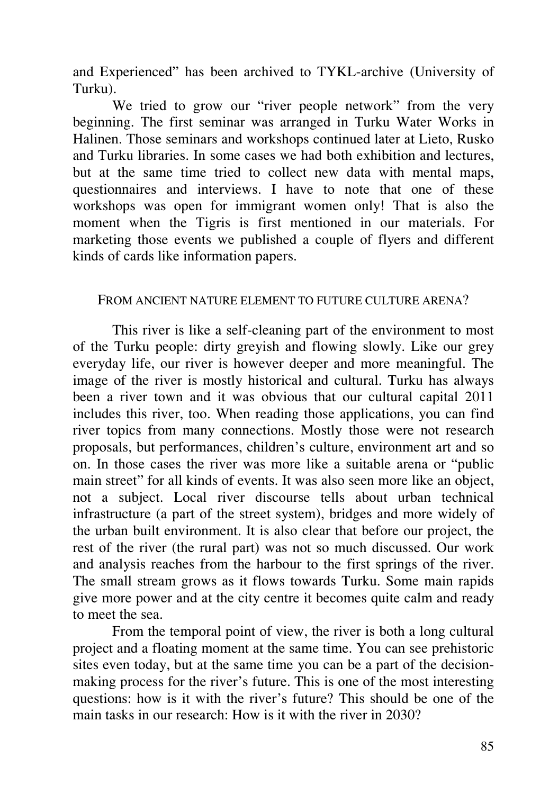and Experienced" has been archived to TYKL-archive (University of Turku).

We tried to grow our "river people network" from the very beginning. The first seminar was arranged in Turku Water Works in Halinen. Those seminars and workshops continued later at Lieto, Rusko and Turku libraries. In some cases we had both exhibition and lectures, but at the same time tried to collect new data with mental maps, questionnaires and interviews. I have to note that one of these workshops was open for immigrant women only! That is also the moment when the Tigris is first mentioned in our materials. For marketing those events we published a couple of flyers and different kinds of cards like information papers.

### FROM ANCIENT NATURE ELEMENT TO FUTURE CULTURE ARENA?

This river is like a self-cleaning part of the environment to most of the Turku people: dirty greyish and flowing slowly. Like our grey everyday life, our river is however deeper and more meaningful. The image of the river is mostly historical and cultural. Turku has always been a river town and it was obvious that our cultural capital 2011 includes this river, too. When reading those applications, you can find river topics from many connections. Mostly those were not research proposals, but performances, children's culture, environment art and so on. In those cases the river was more like a suitable arena or "public main street" for all kinds of events. It was also seen more like an object, not a subject. Local river discourse tells about urban technical infrastructure (a part of the street system), bridges and more widely of the urban built environment. It is also clear that before our project, the rest of the river (the rural part) was not so much discussed. Our work and analysis reaches from the harbour to the first springs of the river. The small stream grows as it flows towards Turku. Some main rapids give more power and at the city centre it becomes quite calm and ready to meet the sea.

From the temporal point of view, the river is both a long cultural project and a floating moment at the same time. You can see prehistoric sites even today, but at the same time you can be a part of the decisionmaking process for the river's future. This is one of the most interesting questions: how is it with the river's future? This should be one of the main tasks in our research: How is it with the river in 2030?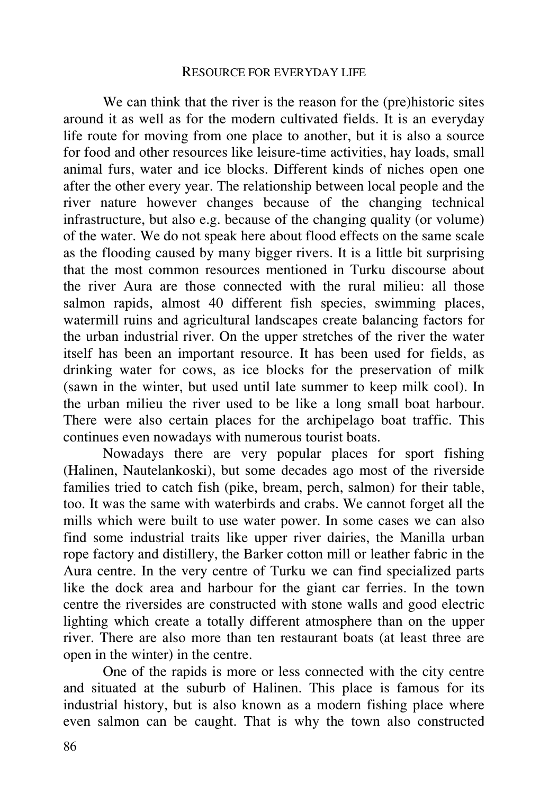#### RESOURCE FOR EVERYDAY LIFE

We can think that the river is the reason for the (pre)historic sites around it as well as for the modern cultivated fields. It is an everyday life route for moving from one place to another, but it is also a source for food and other resources like leisure-time activities, hay loads, small animal furs, water and ice blocks. Different kinds of niches open one after the other every year. The relationship between local people and the river nature however changes because of the changing technical infrastructure, but also e.g. because of the changing quality (or volume) of the water. We do not speak here about flood effects on the same scale as the flooding caused by many bigger rivers. It is a little bit surprising that the most common resources mentioned in Turku discourse about the river Aura are those connected with the rural milieu: all those salmon rapids, almost 40 different fish species, swimming places, watermill ruins and agricultural landscapes create balancing factors for the urban industrial river. On the upper stretches of the river the water itself has been an important resource. It has been used for fields, as drinking water for cows, as ice blocks for the preservation of milk (sawn in the winter, but used until late summer to keep milk cool). In the urban milieu the river used to be like a long small boat harbour. There were also certain places for the archipelago boat traffic. This continues even nowadays with numerous tourist boats.

Nowadays there are very popular places for sport fishing (Halinen, Nautelankoski), but some decades ago most of the riverside families tried to catch fish (pike, bream, perch, salmon) for their table, too. It was the same with waterbirds and crabs. We cannot forget all the mills which were built to use water power. In some cases we can also find some industrial traits like upper river dairies, the Manilla urban rope factory and distillery, the Barker cotton mill or leather fabric in the Aura centre. In the very centre of Turku we can find specialized parts like the dock area and harbour for the giant car ferries. In the town centre the riversides are constructed with stone walls and good electric lighting which create a totally different atmosphere than on the upper river. There are also more than ten restaurant boats (at least three are open in the winter) in the centre.

One of the rapids is more or less connected with the city centre and situated at the suburb of Halinen. This place is famous for its industrial history, but is also known as a modern fishing place where even salmon can be caught. That is why the town also constructed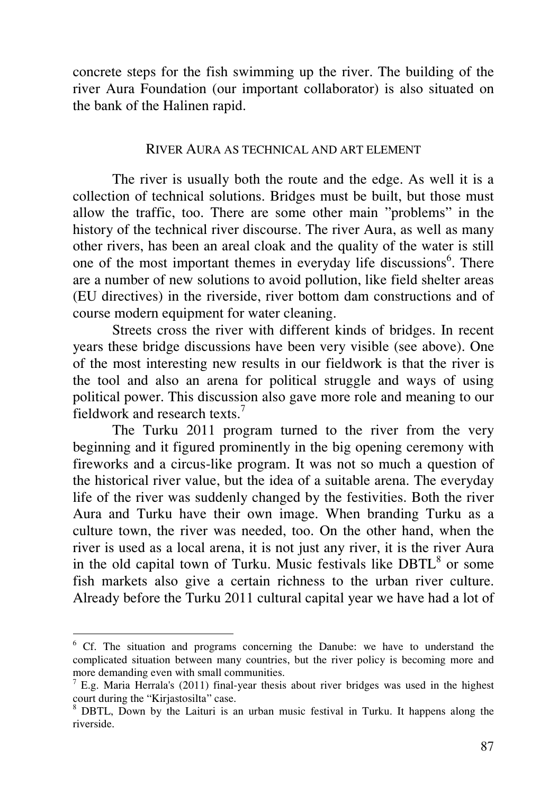concrete steps for the fish swimming up the river. The building of the river Aura Foundation (our important collaborator) is also situated on the bank of the Halinen rapid.

#### RIVER AURA AS TECHNICAL AND ART ELEMENT

The river is usually both the route and the edge. As well it is a collection of technical solutions. Bridges must be built, but those must allow the traffic, too. There are some other main "problems" in the history of the technical river discourse. The river Aura, as well as many other rivers, has been an areal cloak and the quality of the water is still one of the most important themes in everyday life discussions<sup>6</sup>. There are a number of new solutions to avoid pollution, like field shelter areas (EU directives) in the riverside, river bottom dam constructions and of course modern equipment for water cleaning.

Streets cross the river with different kinds of bridges. In recent years these bridge discussions have been very visible (see above). One of the most interesting new results in our fieldwork is that the river is the tool and also an arena for political struggle and ways of using political power. This discussion also gave more role and meaning to our fieldwork and research texts.<sup>7</sup>

The Turku 2011 program turned to the river from the very beginning and it figured prominently in the big opening ceremony with fireworks and a circus-like program. It was not so much a question of the historical river value, but the idea of a suitable arena. The everyday life of the river was suddenly changed by the festivities. Both the river Aura and Turku have their own image. When branding Turku as a culture town, the river was needed, too. On the other hand, when the river is used as a local arena, it is not just any river, it is the river Aura in the old capital town of Turku. Music festivals like  $DBTL<sup>8</sup>$  or some fish markets also give a certain richness to the urban river culture. Already before the Turku 2011 cultural capital year we have had a lot of

-

<sup>&</sup>lt;sup>6</sup> Cf. The situation and programs concerning the Danube: we have to understand the complicated situation between many countries, but the river policy is becoming more and more demanding even with small communities.

 $<sup>7</sup>$  E.g. Maria Herrala's (2011) final-year thesis about river bridges was used in the highest</sup> court during the "Kirjastosilta" case.

<sup>&</sup>lt;sup>8</sup> DBTL, Down by the Laituri is an urban music festival in Turku. It happens along the riverside.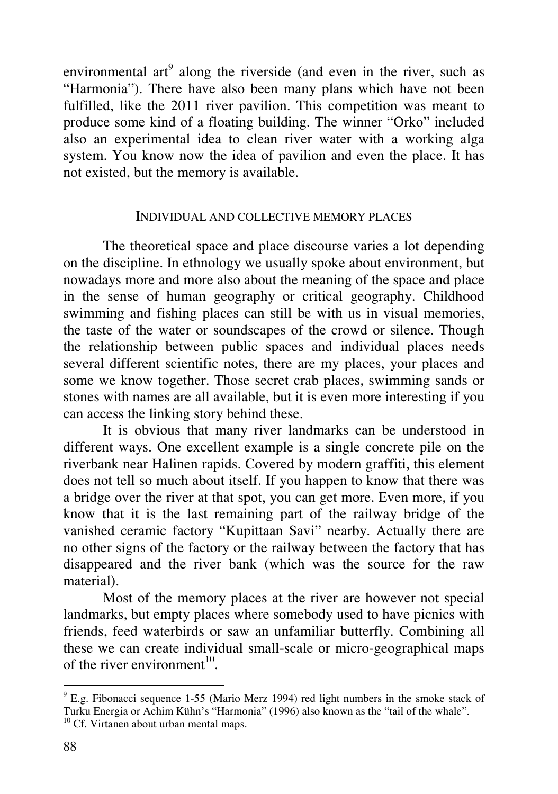environmental art $<sup>9</sup>$  along the riverside (and even in the river, such as</sup> "Harmonia"). There have also been many plans which have not been fulfilled, like the 2011 river pavilion. This competition was meant to produce some kind of a floating building. The winner "Orko" included also an experimental idea to clean river water with a working alga system. You know now the idea of pavilion and even the place. It has not existed, but the memory is available.

### INDIVIDUAL AND COLLECTIVE MEMORY PLACES

The theoretical space and place discourse varies a lot depending on the discipline. In ethnology we usually spoke about environment, but nowadays more and more also about the meaning of the space and place in the sense of human geography or critical geography. Childhood swimming and fishing places can still be with us in visual memories, the taste of the water or soundscapes of the crowd or silence. Though the relationship between public spaces and individual places needs several different scientific notes, there are my places, your places and some we know together. Those secret crab places, swimming sands or stones with names are all available, but it is even more interesting if you can access the linking story behind these.

It is obvious that many river landmarks can be understood in different ways. One excellent example is a single concrete pile on the riverbank near Halinen rapids. Covered by modern graffiti, this element does not tell so much about itself. If you happen to know that there was a bridge over the river at that spot, you can get more. Even more, if you know that it is the last remaining part of the railway bridge of the vanished ceramic factory "Kupittaan Savi" nearby. Actually there are no other signs of the factory or the railway between the factory that has disappeared and the river bank (which was the source for the raw material).

Most of the memory places at the river are however not special landmarks, but empty places where somebody used to have picnics with friends, feed waterbirds or saw an unfamiliar butterfly. Combining all these we can create individual small-scale or micro-geographical maps of the river environment<sup>10</sup>.

 $\overline{a}$ 

<sup>&</sup>lt;sup>9</sup> E.g. Fibonacci sequence 1-55 (Mario Merz 1994) red light numbers in the smoke stack of Turku Energia or Achim Kühn's "Harmonia" (1996) also known as the "tail of the whale". <sup>10</sup> Cf. Virtanen about urban mental maps.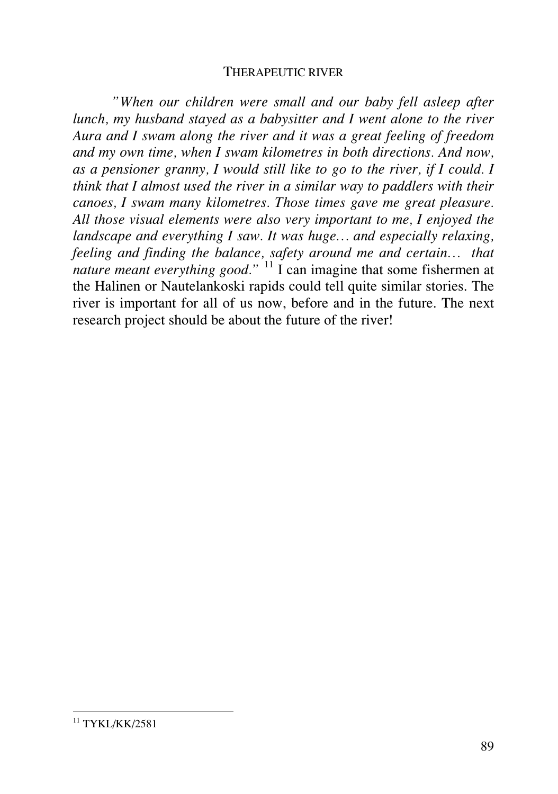#### THERAPEUTIC RIVER

*"When our children were small and our baby fell asleep after lunch, my husband stayed as a babysitter and I went alone to the river Aura and I swam along the river and it was a great feeling of freedom and my own time, when I swam kilometres in both directions. And now, as a pensioner granny, I would still like to go to the river, if I could. I think that I almost used the river in a similar way to paddlers with their canoes, I swam many kilometres. Those times gave me great pleasure. All those visual elements were also very important to me, I enjoyed the landscape and everything I saw. It was huge… and especially relaxing, feeling and finding the balance, safety around me and certain… that nature meant everything good.*"<sup>11</sup> I can imagine that some fishermen at the Halinen or Nautelankoski rapids could tell quite similar stories. The river is important for all of us now, before and in the future. The next research project should be about the future of the river!

<sup>-</sup> $11$  TYKL/KK/2581